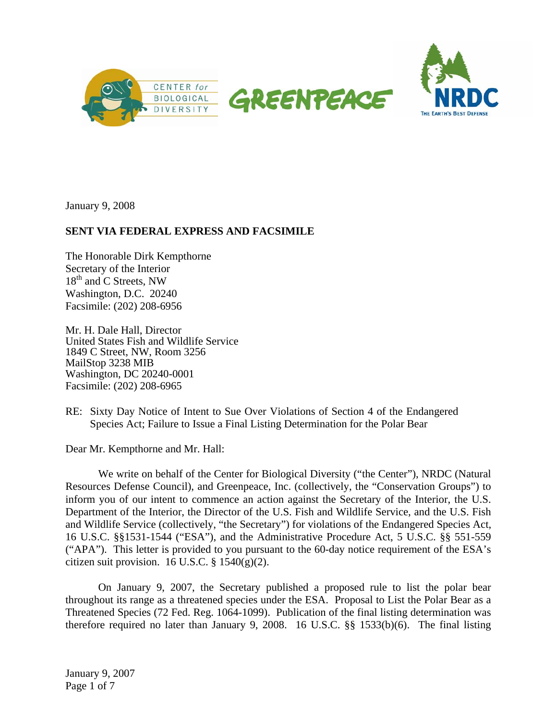



January 9, 2008

## **SENT VIA FEDERAL EXPRESS AND FACSIMILE**

The Honorable Dirk Kempthorne Secretary of the Interior 18<sup>th</sup> and C Streets, NW Washington, D.C. 20240 Facsimile: (202) 208-6956

Mr. H. Dale Hall, Director United States Fish and Wildlife Service 1849 C Street, NW, Room 3256 MailStop 3238 MIB Washington, DC 20240-0001 Facsimile: (202) 208-6965

RE: Sixty Day Notice of Intent to Sue Over Violations of Section 4 of the Endangered Species Act; Failure to Issue a Final Listing Determination for the Polar Bear

Dear Mr. Kempthorne and Mr. Hall:

We write on behalf of the Center for Biological Diversity ("the Center"), NRDC (Natural Resources Defense Council), and Greenpeace, Inc. (collectively, the "Conservation Groups") to inform you of our intent to commence an action against the Secretary of the Interior, the U.S. Department of the Interior, the Director of the U.S. Fish and Wildlife Service, and the U.S. Fish and Wildlife Service (collectively, "the Secretary") for violations of the Endangered Species Act, 16 U.S.C. §§1531-1544 ("ESA"), and the Administrative Procedure Act, 5 U.S.C. §§ 551-559 ("APA"). This letter is provided to you pursuant to the 60-day notice requirement of the ESA's citizen suit provision. 16 U.S.C.  $\S$  1540(g)(2).

On January 9, 2007, the Secretary published a proposed rule to list the polar bear throughout its range as a threatened species under the ESA. Proposal to List the Polar Bear as a Threatened Species (72 Fed. Reg. 1064-1099). Publication of the final listing determination was therefore required no later than January 9, 2008. 16 U.S.C. §§ 1533(b)(6). The final listing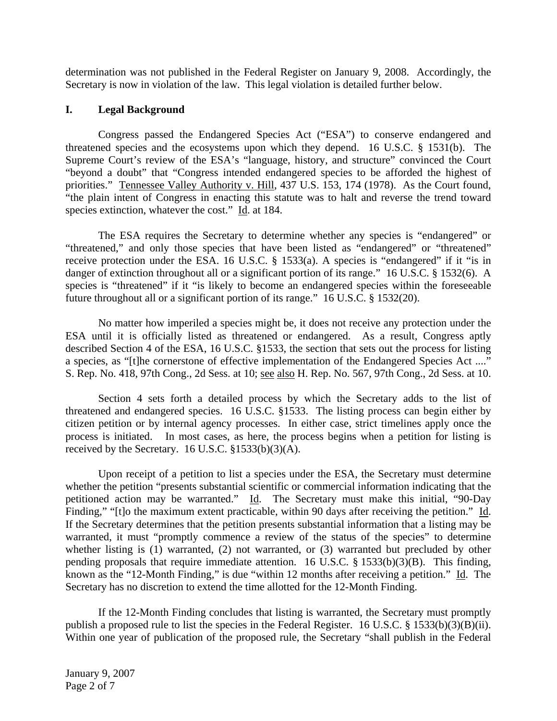determination was not published in the Federal Register on January 9, 2008. Accordingly, the Secretary is now in violation of the law. This legal violation is detailed further below.

## **I. Legal Background**

Congress passed the Endangered Species Act ("ESA") to conserve endangered and threatened species and the ecosystems upon which they depend. 16 U.S.C. § 1531(b). The Supreme Court's review of the ESA's "language, history, and structure" convinced the Court "beyond a doubt" that "Congress intended endangered species to be afforded the highest of priorities." Tennessee Valley Authority v. Hill, 437 U.S. 153, 174 (1978). As the Court found, "the plain intent of Congress in enacting this statute was to halt and reverse the trend toward species extinction, whatever the cost." Id. at 184.

The ESA requires the Secretary to determine whether any species is "endangered" or "threatened," and only those species that have been listed as "endangered" or "threatened" receive protection under the ESA. 16 U.S.C. § 1533(a). A species is "endangered" if it "is in danger of extinction throughout all or a significant portion of its range." 16 U.S.C. § 1532(6). A species is "threatened" if it "is likely to become an endangered species within the foreseeable future throughout all or a significant portion of its range." 16 U.S.C. § 1532(20).

No matter how imperiled a species might be, it does not receive any protection under the ESA until it is officially listed as threatened or endangered. As a result, Congress aptly described Section 4 of the ESA, 16 U.S.C. §1533, the section that sets out the process for listing a species, as "[t]he cornerstone of effective implementation of the Endangered Species Act ...." S. Rep. No. 418, 97th Cong., 2d Sess. at 10; see also H. Rep. No. 567, 97th Cong., 2d Sess. at 10.

Section 4 sets forth a detailed process by which the Secretary adds to the list of threatened and endangered species. 16 U.S.C. §1533. The listing process can begin either by citizen petition or by internal agency processes. In either case, strict timelines apply once the process is initiated. In most cases, as here, the process begins when a petition for listing is received by the Secretary. 16 U.S.C. §1533(b)(3)(A).

Upon receipt of a petition to list a species under the ESA, the Secretary must determine whether the petition "presents substantial scientific or commercial information indicating that the petitioned action may be warranted." Id. The Secretary must make this initial, "90-Day Finding," "It the maximum extent practicable, within 90 days after receiving the petition." Id. If the Secretary determines that the petition presents substantial information that a listing may be warranted, it must "promptly commence a review of the status of the species" to determine whether listing is (1) warranted, (2) not warranted, or (3) warranted but precluded by other pending proposals that require immediate attention. 16 U.S.C.  $\S$  1533(b)(3)(B). This finding, known as the "12-Month Finding," is due "within 12 months after receiving a petition." Id. The Secretary has no discretion to extend the time allotted for the 12-Month Finding.

If the 12-Month Finding concludes that listing is warranted, the Secretary must promptly publish a proposed rule to list the species in the Federal Register. 16 U.S.C. § 1533(b)(3)(B)(ii). Within one year of publication of the proposed rule, the Secretary "shall publish in the Federal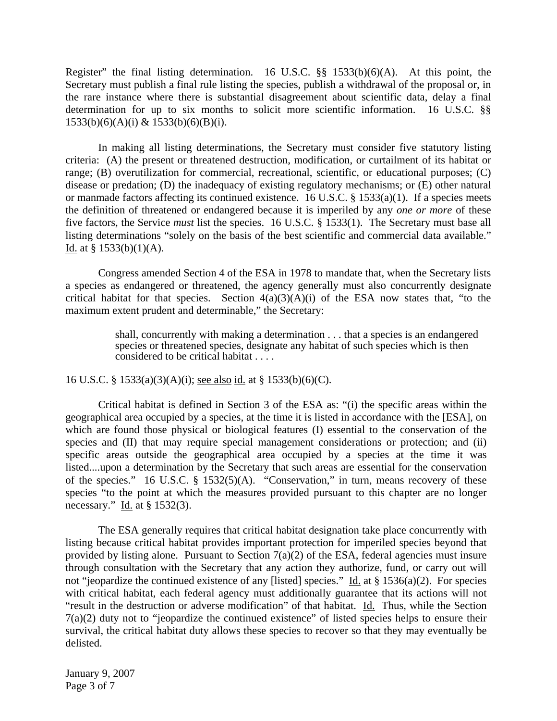Register" the final listing determination. 16 U.S.C. §§ 1533(b)(6)(A). At this point, the Secretary must publish a final rule listing the species, publish a withdrawal of the proposal or, in the rare instance where there is substantial disagreement about scientific data, delay a final determination for up to six months to solicit more scientific information. 16 U.S.C. §§  $1533(b)(6)(A)(i)$  &  $1533(b)(6)(B)(i)$ .

In making all listing determinations, the Secretary must consider five statutory listing criteria: (A) the present or threatened destruction, modification, or curtailment of its habitat or range; (B) overutilization for commercial, recreational, scientific, or educational purposes; (C) disease or predation; (D) the inadequacy of existing regulatory mechanisms; or (E) other natural or manmade factors affecting its continued existence. 16 U.S.C. § 1533(a)(1). If a species meets the definition of threatened or endangered because it is imperiled by any *one or more* of these five factors, the Service *must* list the species. 16 U.S.C. § 1533(1). The Secretary must base all listing determinations "solely on the basis of the best scientific and commercial data available." Id. at  $§$  1533(b)(1)(A).

Congress amended Section 4 of the ESA in 1978 to mandate that, when the Secretary lists a species as endangered or threatened, the agency generally must also concurrently designate critical habitat for that species. Section  $4(a)(3)(A)(i)$  of the ESA now states that, "to the maximum extent prudent and determinable," the Secretary:

> shall, concurrently with making a determination . . . that a species is an endangered species or threatened species, designate any habitat of such species which is then considered to be critical habitat . . . .

16 U.S.C. § 1533(a)(3)(A)(i); see also id. at § 1533(b)(6)(C).

Critical habitat is defined in Section 3 of the ESA as: "(i) the specific areas within the geographical area occupied by a species, at the time it is listed in accordance with the [ESA], on which are found those physical or biological features (I) essential to the conservation of the species and (II) that may require special management considerations or protection; and (ii) specific areas outside the geographical area occupied by a species at the time it was listed....upon a determination by the Secretary that such areas are essential for the conservation of the species." 16 U.S.C. § 1532(5)(A). "Conservation," in turn, means recovery of these species "to the point at which the measures provided pursuant to this chapter are no longer necessary." Id. at  $\S$  1532(3).

The ESA generally requires that critical habitat designation take place concurrently with listing because critical habitat provides important protection for imperiled species beyond that provided by listing alone. Pursuant to Section  $7(a)(2)$  of the ESA, federal agencies must insure through consultation with the Secretary that any action they authorize, fund, or carry out will not "jeopardize the continued existence of any [listed] species." Id. at  $\S 1536(a)(2)$ . For species with critical habitat, each federal agency must additionally guarantee that its actions will not "result in the destruction or adverse modification" of that habitat. Id. Thus, while the Section 7(a)(2) duty not to "jeopardize the continued existence" of listed species helps to ensure their survival, the critical habitat duty allows these species to recover so that they may eventually be delisted.

January 9, 2007 Page 3 of 7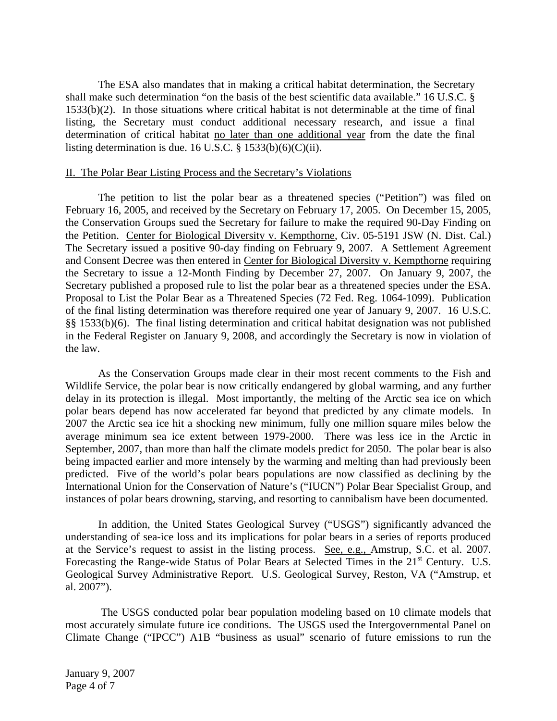The ESA also mandates that in making a critical habitat determination, the Secretary shall make such determination "on the basis of the best scientific data available." 16 U.S.C. § 1533(b)(2). In those situations where critical habitat is not determinable at the time of final listing, the Secretary must conduct additional necessary research, and issue a final determination of critical habitat no later than one additional year from the date the final listing determination is due. 16 U.S.C. § 1533(b)(6)(C)(ii).

## II. The Polar Bear Listing Process and the Secretary's Violations

The petition to list the polar bear as a threatened species ("Petition") was filed on February 16, 2005, and received by the Secretary on February 17, 2005. On December 15, 2005, the Conservation Groups sued the Secretary for failure to make the required 90-Day Finding on the Petition. Center for Biological Diversity v. Kempthorne, Civ. 05-5191 JSW (N. Dist. Cal.) The Secretary issued a positive 90-day finding on February 9, 2007. A Settlement Agreement and Consent Decree was then entered in Center for Biological Diversity v. Kempthorne requiring the Secretary to issue a 12-Month Finding by December 27, 2007. On January 9, 2007, the Secretary published a proposed rule to list the polar bear as a threatened species under the ESA. Proposal to List the Polar Bear as a Threatened Species (72 Fed. Reg. 1064-1099). Publication of the final listing determination was therefore required one year of January 9, 2007. 16 U.S.C. §§ 1533(b)(6). The final listing determination and critical habitat designation was not published in the Federal Register on January 9, 2008, and accordingly the Secretary is now in violation of the law.

As the Conservation Groups made clear in their most recent comments to the Fish and Wildlife Service, the polar bear is now critically endangered by global warming, and any further delay in its protection is illegal. Most importantly, the melting of the Arctic sea ice on which polar bears depend has now accelerated far beyond that predicted by any climate models. In 2007 the Arctic sea ice hit a shocking new minimum, fully one million square miles below the average minimum sea ice extent between 1979-2000. There was less ice in the Arctic in September, 2007, than more than half the climate models predict for 2050. The polar bear is also being impacted earlier and more intensely by the warming and melting than had previously been predicted. Five of the world's polar bears populations are now classified as declining by the International Union for the Conservation of Nature's ("IUCN") Polar Bear Specialist Group, and instances of polar bears drowning, starving, and resorting to cannibalism have been documented.

In addition, the United States Geological Survey ("USGS") significantly advanced the understanding of sea-ice loss and its implications for polar bears in a series of reports produced at the Service's request to assist in the listing process. See, e.g., Amstrup, S.C. et al. 2007. Forecasting the Range-wide Status of Polar Bears at Selected Times in the 21<sup>st</sup> Century. U.S. Geological Survey Administrative Report. U.S. Geological Survey, Reston, VA ("Amstrup, et al. 2007").

The USGS conducted polar bear population modeling based on 10 climate models that most accurately simulate future ice conditions. The USGS used the Intergovernmental Panel on Climate Change ("IPCC") A1B "business as usual" scenario of future emissions to run the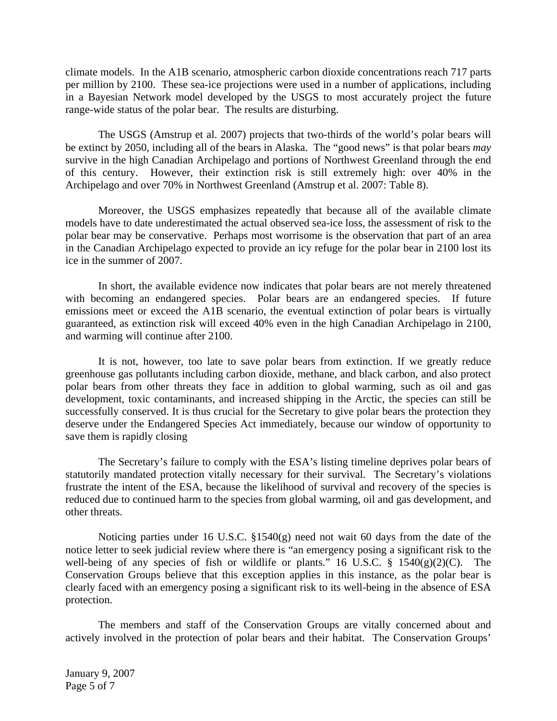climate models. In the A1B scenario, atmospheric carbon dioxide concentrations reach 717 parts per million by 2100. These sea-ice projections were used in a number of applications, including in a Bayesian Network model developed by the USGS to most accurately project the future range-wide status of the polar bear. The results are disturbing.

The USGS (Amstrup et al. 2007) projects that two-thirds of the world's polar bears will be extinct by 2050, including all of the bears in Alaska. The "good news" is that polar bears *may* survive in the high Canadian Archipelago and portions of Northwest Greenland through the end of this century. However, their extinction risk is still extremely high: over 40% in the Archipelago and over 70% in Northwest Greenland (Amstrup et al. 2007: Table 8).

Moreover, the USGS emphasizes repeatedly that because all of the available climate models have to date underestimated the actual observed sea-ice loss, the assessment of risk to the polar bear may be conservative. Perhaps most worrisome is the observation that part of an area in the Canadian Archipelago expected to provide an icy refuge for the polar bear in 2100 lost its ice in the summer of 2007.

In short, the available evidence now indicates that polar bears are not merely threatened with becoming an endangered species. Polar bears are an endangered species. If future emissions meet or exceed the A1B scenario, the eventual extinction of polar bears is virtually guaranteed, as extinction risk will exceed 40% even in the high Canadian Archipelago in 2100, and warming will continue after 2100.

It is not, however, too late to save polar bears from extinction. If we greatly reduce greenhouse gas pollutants including carbon dioxide, methane, and black carbon, and also protect polar bears from other threats they face in addition to global warming, such as oil and gas development, toxic contaminants, and increased shipping in the Arctic, the species can still be successfully conserved. It is thus crucial for the Secretary to give polar bears the protection they deserve under the Endangered Species Act immediately, because our window of opportunity to save them is rapidly closing

The Secretary's failure to comply with the ESA's listing timeline deprives polar bears of statutorily mandated protection vitally necessary for their survival. The Secretary's violations frustrate the intent of the ESA, because the likelihood of survival and recovery of the species is reduced due to continued harm to the species from global warming, oil and gas development, and other threats.

Noticing parties under 16 U.S.C.  $\S 1540(g)$  need not wait 60 days from the date of the notice letter to seek judicial review where there is "an emergency posing a significant risk to the well-being of any species of fish or wildlife or plants." 16 U.S.C.  $\S$  1540(g)(2)(C). The Conservation Groups believe that this exception applies in this instance, as the polar bear is clearly faced with an emergency posing a significant risk to its well-being in the absence of ESA protection.

The members and staff of the Conservation Groups are vitally concerned about and actively involved in the protection of polar bears and their habitat. The Conservation Groups'

January 9, 2007 Page 5 of 7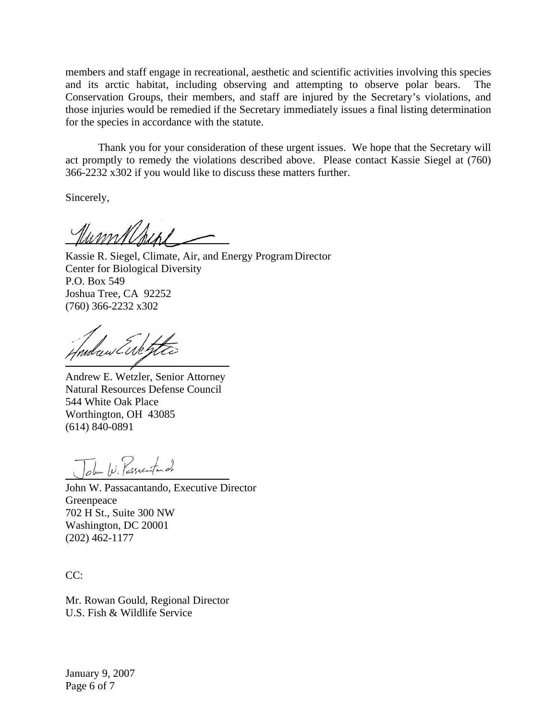members and staff engage in recreational, aesthetic and scientific activities involving this species and its arctic habitat, including observing and attempting to observe polar bears. The Conservation Groups, their members, and staff are injured by the Secretary's violations, and those injuries would be remedied if the Secretary immediately issues a final listing determination for the species in accordance with the statute.

Thank you for your consideration of these urgent issues. We hope that the Secretary will act promptly to remedy the violations described above. Please contact Kassie Siegel at (760) 366-2232 x302 if you would like to discuss these matters further.

Sincerely,

 Kassie R. Siegel, Climate, Air, and Energy Program Director Center for Biological Diversity P.O. Box 549 Joshua Tree, CA 92252 (760) 366-2232 x302

aw Euk

Andrew E. Wetzler, Senior Attorney Natural Resources Defense Council 544 White Oak Place Worthington, OH 43085 (614) 840-0891

John W. Pessecutardo

John W. Passacantando, Executive Director 702 H St., Suite 300 NW Greenpeace Washington, DC 20001 (202) 462-1177

CC:

Mr. Rowan Gould, Regional Director U.S. Fish & Wildlife Service